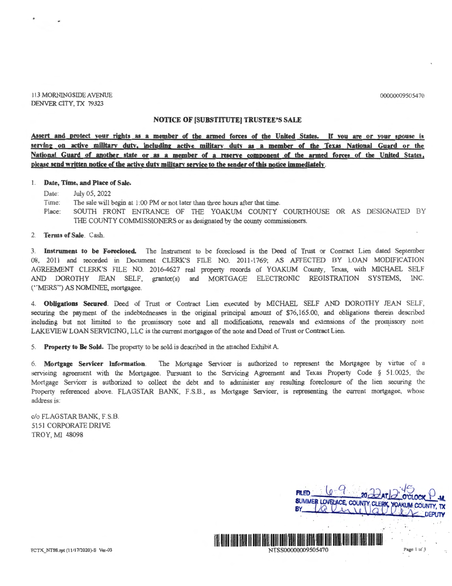00000009505470

113 MORNINGSIDE AVENUE DENVER CITY, TX 79323

## **NOTICE OF [SUBSTITUTE] TRUSTEE'S SALE**

Assert and protect your rights as a member of the armed forces of the United States. If you are or your spouse is serving on active military duty, including active military duty as a member of the Texas National Guard or the **National Guard of another state or as a member of a reserve component of the armed forces of the United States, please send written notice of the active dutv militarv service to the sender of this notice immediately.** 

## I. **Date, Time, and Place of Sale.**

Date: July 05, 2022

- Time: The sale will begin at 1:00 PM or not later than three hours after that time.
- Place SOUTH FRONT ENTRANCE OF THE YOAKUM COUNTY COURTHOUSE OR AS DESIGNATED BY THE COUNTY COMMISSIONERS or as designated by the county commissioners.

2. **Terms of Sale.** Cash.

3. **Instrument to be Foreclosed.** The Instrument to be foreclosed is the Deed of Trust or Contract Lien dated September 08, 2011 and recorded in Document CLERK'S FILE NO. 2011-1769; AS AFFECTED BY LOAN MODIFICATION AGREEMENT CLERK'S FILE NO. 2016-4627 real property records of YOAKUM County, Texas, with MICHAEL SELF AND DOROTHY JEAN SELF, grantor(s) and MORTGAGE ELECTRONIC REGISTRATION SYSTEMS, INC. ("MERS") AS NOMINEE, mortgagee.

4. **Obligations Secured.** Deed of Trust or Contract Lien executed by MICHAEL SELF AND DOROTHY JEAN SELF, securing the payment of the indebtednesses in the original principal amount of \$76,165.00, and obligations therein described including but not limited to the promissory note and all modifications, renewals and extensions of the promissory note. LAKEVIEW LOAN SERVICING, LLC is the current mortgagee of the note and Deed of Trust or Contract Lien.

5. **Property to Be Sold.** The property to be sold is described in the attached Exhibit A.

6. **Mortgage Servicer Information.** The Mortgage Servicer is authorized to represent the Mortgagee by virtue of a servicing agreement with the Mortgagee. Pursuant to the Servicing Agreement and Texas Property Code § 51.0025, the Mortgage Servicer is authorized to collect the debt and to administer any resulting foreclosure of the lien securing the Property referenced above. FLAGSTAR BANK, F.S.B., as Mortgage Servicer, is representing the current mortgagee, whose address is:

c/o FLAGSTAR BANK, F.S.B. 5151 CORPORATE DRIVE TROY, MI 48098



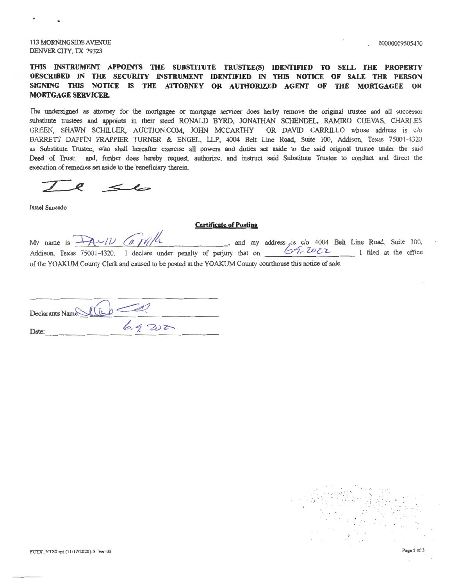113 MORNINGSIDE A VENUE DENVER CITY, TX 79323

00000009505470

## **THIS INSTRUMENT APPOINTS THE SUBSTITUTE TRUSTEE(S) IDENTIFIED TO SELL THE PROPERTY DESCRIBED IN THE SECURITY INSTRUMENT IDENTIFIED IN THIS NOTICE OF SALE THE PERSON**  SIGNING THIS NOTICE IS THE ATTORNEY OR AUTHORIZED AGENT OF THE MORTGAGEE OR **MORTGAGE SERVICER.**

The undersigned as attorney for the mortgagee or mortgage servicer does herby remove the original trustee and all successor substitute trustees and appoints in their steed RONALD BYRD, JONATHAN SCHENDEL, RAMIRO CUEVAS, CHARLES GREEN, SHAWN SCHILLER, AUCTION.COM, JOHN MCCARTHY OR DAVID CARRILLO whose address is c/o BARRETT DAFFIN FRAPPIER TURNER & ENGEL, LLP, 4004 Belt Line Road, Suite 100, Addison, Texas 75001-4320 as Substitute Trustee, who shall hereafter exercise all powers and duties set aside to the said original trustee under the said Deed of Trust; and, further does hereby request, authorize, and instruct said Substitute Trustee to conduct and direct the execution of remedies set aside to the beneficiary therein.

 $\leq$ 

Israel Saucedo

## **Certificate of Posting**

**Certificate of Posting**<br>My name is  $\frac{\sqrt{11}}{100}$  (a  $\frac{1}{100}$   $\frac{1}{100}$  and my address is c/o 4004 Belt Line Road, Suite 100, Addison, Texas 75001-4320. I declare under penalty of perjury that on **CALLICAL** I filed at the office of the YOAKUM County Clerk and caused to be posted at the YOAKUM County courthouse this notice of sale.

Declarants Name $U(\mu)$  $D$ ate:  $6.9202$